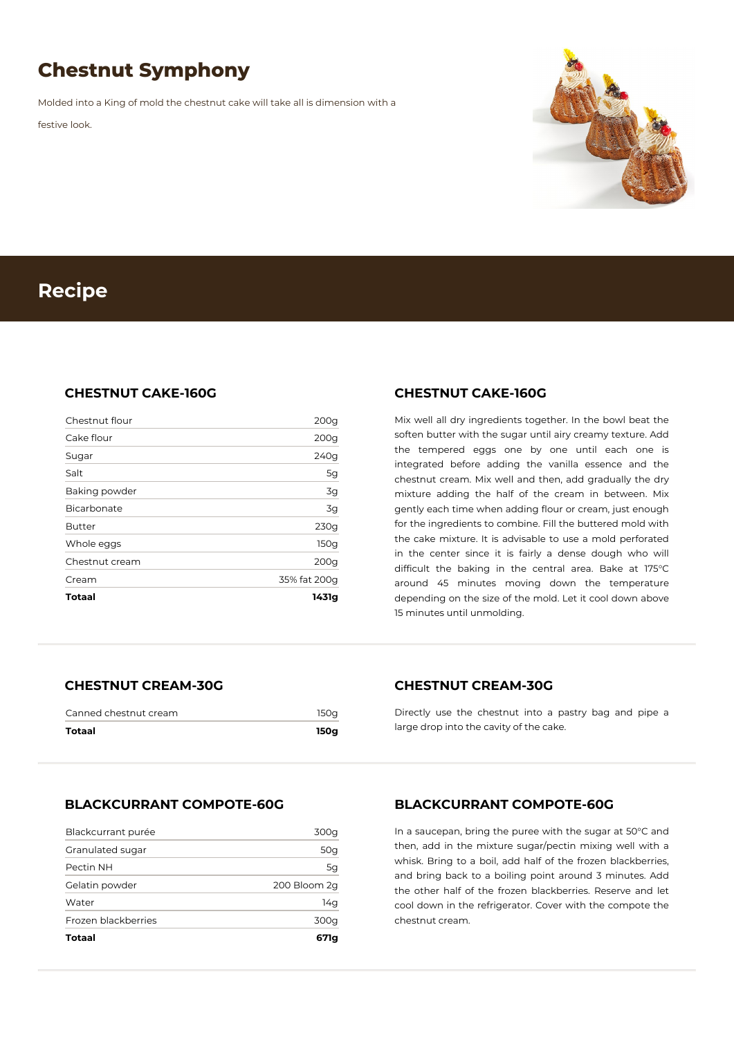# **Chestnut Symphony**

Molded into a King of mold the chestnut cake will take all is dimension with a

festive look.



## **Recipe**

#### **CHESTNUT CAKE-160G**

| Totaal         | 1431g            |
|----------------|------------------|
| Cream          | 35% fat 200q     |
| Chestnut cream | 200q             |
| Whole eggs     | 150q             |
| <b>Butter</b>  | 230g             |
| Bicarbonate    | 3g               |
| Baking powder  | 3g               |
| Salt           | 5g               |
| Sugar          | 240g             |
| Cake flour     | 200g             |
| Chestnut flour | 200 <sub>g</sub> |

#### **CHESTNUT CAKE-160G**

Mix well all dry ingredients together. In the bowl beat the soften butter with the sugar until airy creamy texture. Add the tempered eggs one by one until each one is integrated before adding the vanilla essence and the chestnut cream. Mix well and then, add gradually the dry mixture adding the half of the cream in between. Mix gently each time when adding flour or cream, just enough for the ingredients to combine. Fill the buttered mold with the cake mixture. It is advisable to use a mold perforated in the center since it is fairly a dense dough who will difficult the baking in the central area. Bake at 175°C around 45 minutes moving down the temperature depending on the size of the mold. Let it cool down above 15 minutes until unmolding.

### **CHESTNUT CREAM-30G**

| Canned chestnut cream | 150a |
|-----------------------|------|
| Totaal                | 150a |

#### **CHESTNUT CREAM-30G**

Directly use the chestnut into a pastry bag and pipe a large drop into the cavity of the cake.

#### **BLACKCURRANT COMPOTE-60G**

| Totaal              | 671a         |
|---------------------|--------------|
| Frozen blackberries | 300g         |
| Water               | 14g          |
| Gelatin powder      | 200 Bloom 2q |
| Pectin NH           | 5g           |
| Granulated sugar    | 50g          |
| Blackcurrant purée  | 300g         |

#### **BLACKCURRANT COMPOTE-60G**

In a saucepan, bring the puree with the sugar at 50°C and then, add in the mixture sugar/pectin mixing well with a whisk. Bring to a boil, add half of the frozen blackberries, and bring back to a boiling point around 3 minutes. Add the other half of the frozen blackberries. Reserve and let cool down in the refrigerator. Cover with the compote the chestnut cream.